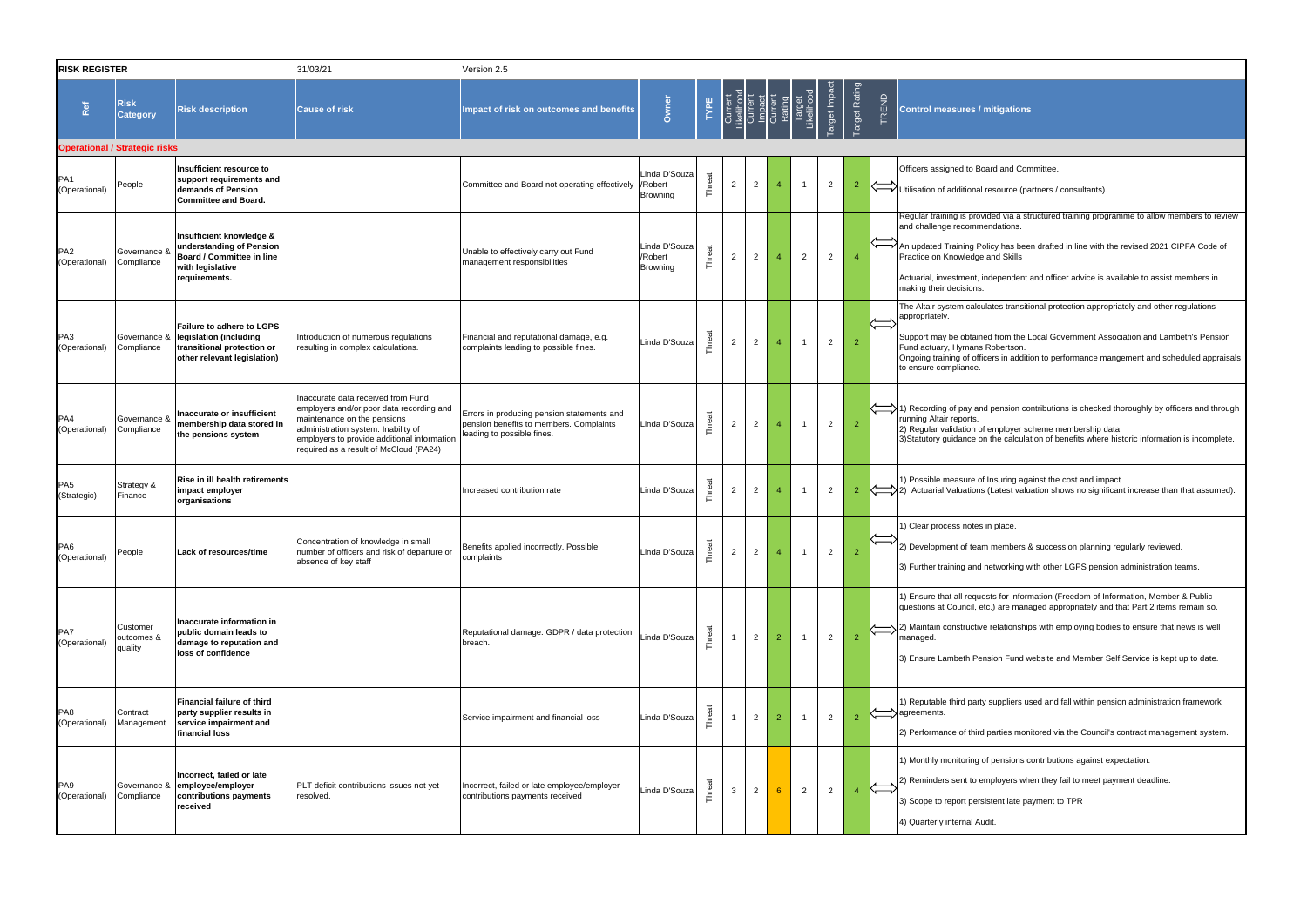| <b>RISK REGISTER</b>             |                                      |                                                                                                                        | 31/03/21                                                                                                                                                                                                                                      | Version 2.5                                                                                                         |                                      |           |                |                |                                                                            |                      |                |                      |       |                                                                                                                                                                   |
|----------------------------------|--------------------------------------|------------------------------------------------------------------------------------------------------------------------|-----------------------------------------------------------------------------------------------------------------------------------------------------------------------------------------------------------------------------------------------|---------------------------------------------------------------------------------------------------------------------|--------------------------------------|-----------|----------------|----------------|----------------------------------------------------------------------------|----------------------|----------------|----------------------|-------|-------------------------------------------------------------------------------------------------------------------------------------------------------------------|
| Ref                              | <b>Risk</b><br><b>Category</b>       | <b>Risk description</b>                                                                                                | <b>Cause of risk</b>                                                                                                                                                                                                                          | Impact of risk on outcomes and benefits                                                                             | Owner                                | TYPE      |                |                | Ourrent<br>- Kelihood<br>Ourrent<br>Ourrent<br>Ourrent<br>Rating<br>Rating | Target<br>Likelihood | Target Impact  | <b>Target Rating</b> | TREND | <b>Control measures / m</b>                                                                                                                                       |
|                                  | <b>Operational / Strategic risks</b> |                                                                                                                        |                                                                                                                                                                                                                                               |                                                                                                                     |                                      |           |                |                |                                                                            |                      |                |                      |       |                                                                                                                                                                   |
| PA <sub>1</sub><br>(Operational) | People                               | Insufficient resource to<br>support requirements and<br>demands of Pension<br><b>Committee and Board.</b>              |                                                                                                                                                                                                                                               | Committee and Board not operating effectively / Robert                                                              | Linda D'Souza<br>Browning            | Threat    | $\overline{2}$ | $\overline{2}$ | $\overline{4}$                                                             | -1                   | $\overline{2}$ | $\overline{2}$       |       | Officers assigned to Boa<br>Utilisation of additional re                                                                                                          |
| PA <sub>2</sub><br>(Operational) | Governance &<br>Compliance           | Insufficient knowledge &<br>understanding of Pension<br>Board / Committee in line<br>with legislative<br>requirements. |                                                                                                                                                                                                                                               | Unable to effectively carry out Fund<br>management responsibilities                                                 | Linda D'Souza<br>/Robert<br>Browning | Threat    | $\overline{c}$ | $\overline{2}$ | $\overline{4}$                                                             | $\overline{2}$       | $\overline{2}$ | $\overline{4}$       |       | Regular training is provid<br>and challenge recomme<br>An updated Training Pol<br>Practice on Knowledge a<br>Actuarial, investment, in<br>making their decisions. |
| PA3<br>(Operational)             | Governance &<br>Compliance           | Failure to adhere to LGPS<br>legislation (including<br>transitional protection or<br>other relevant legislation)       | Introduction of numerous regulations<br>resulting in complex calculations.                                                                                                                                                                    | Financial and reputational damage, e.g.<br>complaints leading to possible fines.                                    | Linda D'Souza                        | Threat    | $\overline{c}$ | $\overline{2}$ | $\overline{4}$                                                             | $\overline{1}$       | $\overline{2}$ | $\overline{2}$       |       | The Altair system calcula<br>appropriately.<br>Support may be obtained<br>Fund actuary, Hymans F<br>Ongoing training of office<br>to ensure compliance.           |
| PA4<br>(Operational)             | Governance &<br>Compliance           | Inaccurate or insufficient<br>membership data stored in<br>the pensions system                                         | Inaccurate data received from Fund<br>employers and/or poor data recording and<br>maintenance on the pensions<br>administration system. Inability of<br>employers to provide additional information<br>required as a result of McCloud (PA24) | Errors in producing pension statements and<br>pension benefits to members. Complaints<br>leading to possible fines. | Linda D'Souza                        | Threat    | $\overline{2}$ | $\overline{2}$ | 4                                                                          | -1                   | $\overline{2}$ | $\overline{2}$       |       | 1) Recording of pay and<br>running Altair reports.<br>2) Regular validation of e<br>3) Statutory guidance on                                                      |
| PA <sub>5</sub><br>(Strategic)   | Strategy &<br>Finance                | Rise in ill health retirements<br>impact employer<br>organisations                                                     |                                                                                                                                                                                                                                               | Increased contribution rate                                                                                         | Linda D'Souza                        | Threat    | $\overline{2}$ | $\overline{2}$ | 4                                                                          | -1                   | 2              | $\overline{2}$       |       | 1) Possible measure of I<br>2) Actuarial Valuations (                                                                                                             |
| PA <sub>6</sub><br>(Operational) | People                               | Lack of resources/time                                                                                                 | Concentration of knowledge in small<br>number of officers and risk of departure or<br>absence of key staff                                                                                                                                    | Benefits applied incorrectly. Possible<br>complaints                                                                | Linda D'Souza                        | reat<br>즉 | $\overline{2}$ | $\overline{2}$ | $\overline{4}$                                                             | $\overline{1}$       | $\mathcal{P}$  | $\overline{2}$       |       | 1) Clear process notes in<br>2) Development of team<br>3) Further training and n                                                                                  |
| PA7<br>(Operational)             | Customer<br>outcomes &<br>quality    | Inaccurate information in<br>public domain leads to<br>damage to reputation and<br>loss of confidence                  |                                                                                                                                                                                                                                               | Reputational damage. GDPR / data protection<br>breach.                                                              | Linda D'Souza                        | Threat    |                | $\overline{2}$ | $\overline{2}$                                                             | $\mathbf{1}$         | $\overline{2}$ | $\overline{2}$       |       | 1) Ensure that all reques<br>questions at Council, etc<br>2) Maintain constructive<br>managed.<br>3) Ensure Lambeth Pens                                          |
| PA8<br>(Operational)             | Contract<br>Management               | <b>Financial failure of third</b><br>party supplier results in<br>service impairment and<br>financial loss             |                                                                                                                                                                                                                                               | Service impairment and financial loss                                                                               | Linda D'Souza                        | Threat    | $\mathbf{1}$   | $\overline{2}$ | $\overline{2}$                                                             | $\overline{1}$       | $\overline{2}$ | $\overline{2}$       |       | 1) Reputable third party<br>agreements.<br>2) Performance of third p                                                                                              |
| PA <sub>9</sub><br>(Operational) | Governance &<br>Compliance           | Incorrect, failed or late<br>employee/employer<br>contributions payments<br>received                                   | PLT deficit contributions issues not yet<br>resolved.                                                                                                                                                                                         | Incorrect, failed or late employee/employer<br>contributions payments received                                      | Linda D'Souza                        | Threat    | 3              | $\overline{2}$ | $6^{\circ}$                                                                | $\overline{2}$       | $\overline{2}$ | $\overline{4}$       |       | 1) Monthly monitoring of<br>2) Reminders sent to em<br>3) Scope to report persis<br>4) Quarterly internal Aud                                                     |

## **itigations**

ard and Committee.

resource (partners / consultants).

- ided via a structured training programme to allow members to review endations.
- licy has been drafted in line with the revised 2021 CIPFA Code of and Skills

Actuarial, independent and officer advice is available to assist members in

lates transitional protection appropriately and other regulations

- ed from the Local Government Association and Lambeth's Pension Robertson.
- ers in addition to performance mangement and scheduled appraisals

I pension contributions is checked thoroughly by officers and through

employer scheme membership data 1) the calculation of benefits where historic information is incomplete.

Insuring against the cost and impact (Latest valuation shows no significant increase than that assumed).

in place.

- n members & succession planning regularly reviewed.
- networking with other LGPS pension administration teams.

sts for information (Freedom of Information, Member & Public c.) are managed appropriately and that Part 2 items remain so.

- relationships with employing bodies to ensure that news is well
- ision Fund website and Member Self Service is kept up to date.

suppliers used and fall within pension administration framework

parties monitored via the Council's contract management system.

f pensions contributions against expectation.

mployers when they fail to meet payment deadline.

stent late payment to TPR

dit.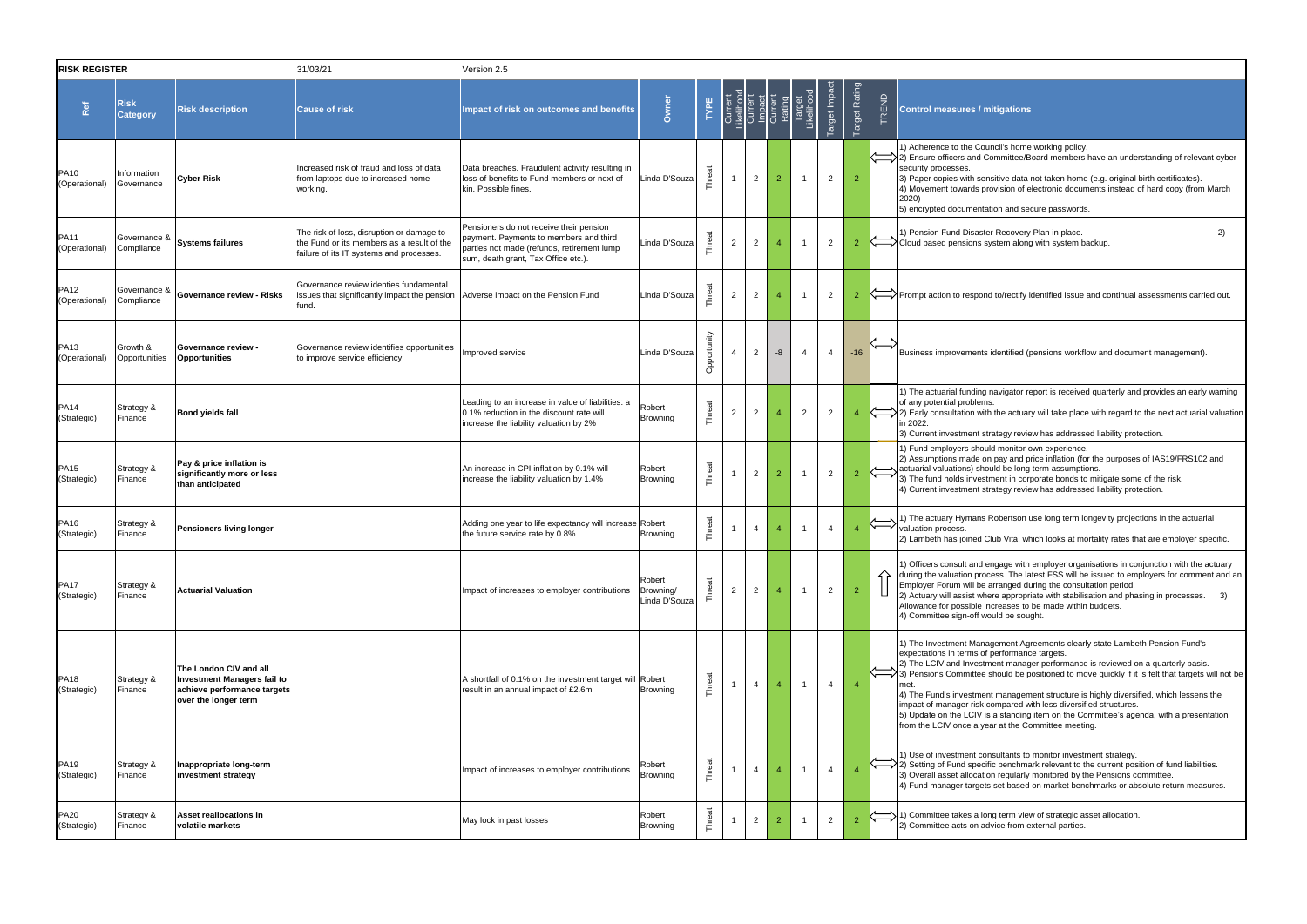| <b>RISK REGISTER</b>            |                                |                                                                                                                     | 31/03/21                                                                                                                            | Version 2.5                                                                                                                                                            |                                      |             |                |                |                |                                                                                          |                |                |              |                                                                                                                                                                                                                                                                                                                                                                                                                                                                                                                                                                                                                                      |
|---------------------------------|--------------------------------|---------------------------------------------------------------------------------------------------------------------|-------------------------------------------------------------------------------------------------------------------------------------|------------------------------------------------------------------------------------------------------------------------------------------------------------------------|--------------------------------------|-------------|----------------|----------------|----------------|------------------------------------------------------------------------------------------|----------------|----------------|--------------|--------------------------------------------------------------------------------------------------------------------------------------------------------------------------------------------------------------------------------------------------------------------------------------------------------------------------------------------------------------------------------------------------------------------------------------------------------------------------------------------------------------------------------------------------------------------------------------------------------------------------------------|
| Ref                             | <b>Risk</b><br><b>Category</b> | <b>Risk description</b>                                                                                             | <b>Cause of risk</b>                                                                                                                | Impact of risk on outcomes and benefits                                                                                                                                | Owner                                | TYPE        |                |                |                | Current<br>Likelihood<br>Current<br>Current<br>Current<br>Rating<br>Target<br>Likelihood | Target Impac   | Target Rating  | TREND        | <b>Control measures / mitigations</b>                                                                                                                                                                                                                                                                                                                                                                                                                                                                                                                                                                                                |
| <b>PA10</b><br>(Operational)    | Information<br>Governance      | Cyber Risk                                                                                                          | Increased risk of fraud and loss of data<br>from laptops due to increased home<br>working.                                          | Data breaches. Fraudulent activity resulting in<br>loss of benefits to Fund members or next of<br>kin. Possible fines.                                                 | Linda D'Souza                        | Threat      |                | 2              | $\overline{2}$ | $\overline{1}$                                                                           | $\overline{2}$ | $\overline{2}$ |              | 1) Adherence to the Council's home working policy.<br>2) Ensure officers and Committee/Board members have an understanding of relevant cybe<br>security processes.<br>[3] Paper copies with sensitive data not taken home (e.g. original birth certificates).<br>4) Movement towards provision of electronic documents instead of hard copy (from March<br>2020)<br>5) encrypted documentation and secure passwords.                                                                                                                                                                                                                 |
| <b>PA11</b><br>(Operational)    | Governance &<br>Compliance     | <b>Systems failures</b>                                                                                             | The risk of loss, disruption or damage to<br>the Fund or its members as a result of the<br>failure of its IT systems and processes. | Pensioners do not receive their pension<br>payment. Payments to members and third<br>parties not made (refunds, retirement lump<br>sum, death grant, Tax Office etc.). | Linda D'Souza                        | Threat      | $\overline{2}$ | $\overline{2}$ |                |                                                                                          | $\overline{2}$ | $\overline{2}$ |              | 1) Pension Fund Disaster Recovery Plan in place.<br>2)<br>$\overline{\left\langle \right\rangle}$ Cloud based pensions system along with system backup.                                                                                                                                                                                                                                                                                                                                                                                                                                                                              |
| <b>PA12</b><br>(Operational)    | Governance &<br>Compliance     | Governance review - Risks                                                                                           | Governance review identies fundamental<br>issues that significantly impact the pension Adverse impact on the Pension Fund<br>fund.  |                                                                                                                                                                        | Linda D'Souza                        | Threat      | $\overline{2}$ | $\overline{2}$ |                |                                                                                          | $\overline{2}$ | $\overline{2}$ |              | $\left\langle \right\rangle$ Prompt action to respond to/rectify identified issue and continual assessments carried out                                                                                                                                                                                                                                                                                                                                                                                                                                                                                                              |
| <b>PA13</b><br>(Operational)    | Growth &<br>Opportunities      | <b>Governance review -</b><br><b>Opportunities</b>                                                                  | Governance review identifies opportunities<br>to improve service efficiency                                                         | Improved service                                                                                                                                                       | Linda D'Souza                        | Opportunity | $\overline{4}$ | 2              | -8             | $\overline{4}$                                                                           | $\overline{4}$ | $-16$          |              | Business improvements identified (pensions workflow and document management).                                                                                                                                                                                                                                                                                                                                                                                                                                                                                                                                                        |
| PA14<br>(Strategic)             | Strategy &<br>Finance          | Bond yields fall                                                                                                    |                                                                                                                                     | Leading to an increase in value of liabilities: a<br>0.1% reduction in the discount rate will<br>increase the liability valuation by 2%                                | Robert<br>Browning                   | Threat      | $\overline{c}$ | $\overline{2}$ |                | $\overline{2}$                                                                           | $\overline{2}$ | $\overline{4}$ |              | 1) The actuarial funding navigator report is received quarterly and provides an early warnir<br>of any potential problems.<br>$\langle \text{---} \rangle$ 2) Early consultation with the actuary will take place with regard to the next actuarial valuat<br>in 2022.<br>3) Current investment strategy review has addressed liability protection.                                                                                                                                                                                                                                                                                  |
| PA <sub>15</sub><br>(Strategic) | Strategy &<br>Finance          | Pay & price inflation is<br>significantly more or less<br>than anticipated                                          |                                                                                                                                     | An increase in CPI inflation by 0.1% will<br>increase the liability valuation by 1.4%                                                                                  | Robert<br><b>Browning</b>            | Threat      |                | $\overline{2}$ | $\overline{2}$ | $\overline{1}$                                                                           | $\overline{2}$ | $\overline{2}$ | $\Leftarrow$ | 1) Fund employers should monitor own experience.<br>2) Assumptions made on pay and price inflation (for the purposes of IAS19/FRS102 and<br>actuarial valuations) should be long term assumptions.<br>3) The fund holds investment in corporate bonds to mitigate some of the risk.<br>4) Current investment strategy review has addressed liability protection.                                                                                                                                                                                                                                                                     |
| PA16<br>(Strategic)             | Strategy &<br>Finance          | Pensioners living longer                                                                                            |                                                                                                                                     | Adding one year to life expectancy will increase Robert<br>the future service rate by 0.8%                                                                             | Browning                             | Threat      |                | $\overline{4}$ |                |                                                                                          | $\overline{4}$ | $\overline{4}$ |              | 1) The actuary Hymans Robertson use long term longevity projections in the actuarial<br>valuation process.<br>[2] Lambeth has joined Club Vita, which looks at mortality rates that are employer specific.                                                                                                                                                                                                                                                                                                                                                                                                                           |
| <b>PA17</b><br>(Strategic)      | Strategy &<br>Finance          | <b>Actuarial Valuation</b>                                                                                          |                                                                                                                                     | Impact of increases to employer contributions                                                                                                                          | Robert<br>Browning/<br>Linda D'Souza | Threat      | $\overline{c}$ | $\overline{2}$ |                | $\overline{1}$                                                                           | $\overline{2}$ | $\overline{2}$ |              | 1) Officers consult and engage with employer organisations in conjunction with the actuary<br>during the valuation process. The latest FSS will be issued to employers for comment and<br>Employer Forum will be arranged during the consultation period.<br>(2) Actuary will assist where appropriate with stabilisation and phasing in processes. 3)<br>Allowance for possible increases to be made within budgets.<br>4) Committee sign-off would be sought.                                                                                                                                                                      |
| PA18<br>(Strategic)             | Strategy &<br>Finance          | The London CIV and all<br><b>Investment Managers fail to</b><br>achieve performance targets<br>over the longer term |                                                                                                                                     | A shortfall of 0.1% on the investment target will Robert<br>result in an annual impact of £2.6m                                                                        | <b>Browning</b>                      | Threat      |                | $\overline{4}$ |                | $\overline{1}$                                                                           | $\overline{4}$ | $\overline{4}$ |              | 1) The Investment Management Agreements clearly state Lambeth Pension Fund's<br>expectations in terms of performance targets.<br>2) The LCIV and Investment manager performance is reviewed on a quarterly basis.<br>3) Pensions Committee should be positioned to move quickly if it is felt that targets will not<br>4) The Fund's investment management structure is highly diversified, which lessens the<br>impact of manager risk compared with less diversified structures.<br>5) Update on the LCIV is a standing item on the Committee's agenda, with a presentation<br>from the LCIV once a year at the Committee meeting. |
| <b>PA19</b><br>(Strategic)      | Strategy &<br>Finance          | Inappropriate long-term<br>investment strategy                                                                      |                                                                                                                                     | Impact of increases to employer contributions                                                                                                                          | Robert<br>Browning                   | Threat      |                | $\overline{4}$ | $\overline{4}$ | $\overline{1}$                                                                           | $\overline{4}$ |                |              | 1) Use of investment consultants to monitor investment strategy.<br>2) Setting of Fund specific benchmark relevant to the current position of fund liabilities.<br>3) Overall asset allocation regularly monitored by the Pensions committee.<br>[4] Fund manager targets set based on market benchmarks or absolute return measures.                                                                                                                                                                                                                                                                                                |
| <b>PA20</b><br>(Strategic)      | Strategy &<br>Finance          | Asset reallocations in<br>volatile markets                                                                          |                                                                                                                                     | May lock in past losses                                                                                                                                                | Robert<br>Browning                   | Threat      |                | $\overline{2}$ |                |                                                                                          | $\overline{2}$ | $\overline{2}$ |              | (1) Committee takes a long term view of strategic asset allocation.<br>2) Committee acts on advice from external parties.                                                                                                                                                                                                                                                                                                                                                                                                                                                                                                            |

| <b>Control measures / mitigations</b>                                                                                                                                                                                                                                                                                                                                                                                                                                                                                                                                                                                                           |
|-------------------------------------------------------------------------------------------------------------------------------------------------------------------------------------------------------------------------------------------------------------------------------------------------------------------------------------------------------------------------------------------------------------------------------------------------------------------------------------------------------------------------------------------------------------------------------------------------------------------------------------------------|
| 1) Adherence to the Council's home working policy.<br>2) Ensure officers and Committee/Board members have an understanding of relevant cyber<br>security processes.<br>3) Paper copies with sensitive data not taken home (e.g. original birth certificates).<br>4) Movement towards provision of electronic documents instead of hard copy (from March<br>2020)<br>5) encrypted documentation and secure passwords.                                                                                                                                                                                                                            |
| 1) Pension Fund Disaster Recovery Plan in place.<br>2)<br>Cloud based pensions system along with system backup.                                                                                                                                                                                                                                                                                                                                                                                                                                                                                                                                 |
| Prompt action to respond to/rectify identified issue and continual assessments carried out.                                                                                                                                                                                                                                                                                                                                                                                                                                                                                                                                                     |
| Business improvements identified (pensions workflow and document management).                                                                                                                                                                                                                                                                                                                                                                                                                                                                                                                                                                   |
| 1) The actuarial funding navigator report is received quarterly and provides an early warning<br>of any potential problems.<br>2) Early consultation with the actuary will take place with regard to the next actuarial valuation<br>in 2022.<br>3) Current investment strategy review has addressed liability protection.                                                                                                                                                                                                                                                                                                                      |
| 1) Fund employers should monitor own experience.<br>2) Assumptions made on pay and price inflation (for the purposes of IAS19/FRS102 and<br>actuarial valuations) should be long term assumptions.<br>3) The fund holds investment in corporate bonds to mitigate some of the risk.<br>4) Current investment strategy review has addressed liability protection.                                                                                                                                                                                                                                                                                |
| 1) The actuary Hymans Robertson use long term longevity projections in the actuarial<br>valuation process.<br>2) Lambeth has joined Club Vita, which looks at mortality rates that are employer specific.                                                                                                                                                                                                                                                                                                                                                                                                                                       |
| 1) Officers consult and engage with employer organisations in conjunction with the actuary<br>during the valuation process. The latest FSS will be issued to employers for comment and an<br>Employer Forum will be arranged during the consultation period.<br>2) Actuary will assist where appropriate with stabilisation and phasing in processes.<br>3)<br>Allowance for possible increases to be made within budgets.<br>4) Committee sign-off would be sought.                                                                                                                                                                            |
| 1) The Investment Management Agreements clearly state Lambeth Pension Fund's<br>expectations in terms of performance targets.<br>2) The LCIV and Investment manager performance is reviewed on a quarterly basis.<br>3) Pensions Committee should be positioned to move quickly if it is felt that targets will not be<br>met.<br>4) The Fund's investment management structure is highly diversified, which lessens the<br>impact of manager risk compared with less diversified structures.<br>5) Update on the LCIV is a standing item on the Committee's agenda, with a presentation<br>from the LCIV once a year at the Committee meeting. |
| 1) Use of investment consultants to monitor investment strategy.<br>2) Setting of Fund specific benchmark relevant to the current position of fund liabilities.<br>3) Overall asset allocation regularly monitored by the Pensions committee.<br>4) Fund manager targets set based on market benchmarks or absolute return measures.                                                                                                                                                                                                                                                                                                            |
| 1) Committee takes a long term view of strategic asset allocation.                                                                                                                                                                                                                                                                                                                                                                                                                                                                                                                                                                              |